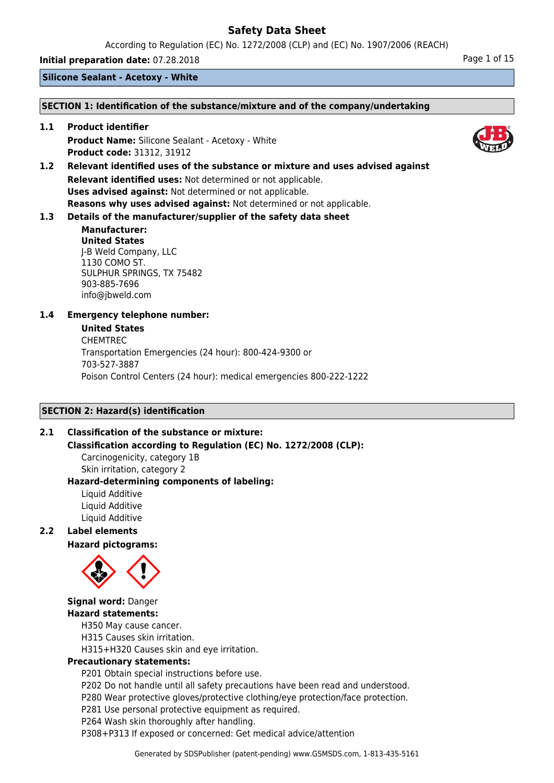According to Regulation (EC) No. 1272/2008 (CLP) and (EC) No. 1907/2006 (REACH)

**Initial preparation date:** 07.28.2018 **Page 1 of 15** 

**Silicone Sealant - Acetoxy - White**

#### **SECTION 1: Identification of the substance/mixture and of the company/undertaking**

**1.1 Product identifier Product Name:** Silicone Sealant - Acetoxy - White **Product code:** 31312, 31912

**1.2 Relevant identified uses of the substance or mixture and uses advised against Relevant identified uses:** Not determined or not applicable. **Uses advised against:** Not determined or not applicable. **Reasons why uses advised against:** Not determined or not applicable.

# **1.3 Details of the manufacturer/supplier of the safety data sheet**

### **Manufacturer: United States** J-B Weld Company, LLC 1130 COMO ST. SULPHUR SPRINGS, TX 75482 903-885-7696 info@jbweld.com

# **1.4 Emergency telephone number:**

#### **United States**

CHEMTREC Transportation Emergencies (24 hour): 800-424-9300 or 703-527-3887 Poison Control Centers (24 hour): medical emergencies 800-222-1222

# **SECTION 2: Hazard(s) identification**

# **2.1 Classification of the substance or mixture:**

**Classification according to Regulation (EC) No. 1272/2008 (CLP):**

Carcinogenicity, category 1B Skin irritation, category 2

#### **Hazard-determining components of labeling:** Liquid Additive

Liquid Additive Liquid Additive

# **2.2 Label elements**

**Hazard pictograms:**



# **Signal word:** Danger **Hazard statements:**

H350 May cause cancer.

H315 Causes skin irritation.

H315+H320 Causes skin and eye irritation.

# **Precautionary statements:**

P201 Obtain special instructions before use.

P202 Do not handle until all safety precautions have been read and understood.

P280 Wear protective gloves/protective clothing/eye protection/face protection.

P281 Use personal protective equipment as required.

P264 Wash skin thoroughly after handling.

P308+P313 If exposed or concerned: Get medical advice/attention

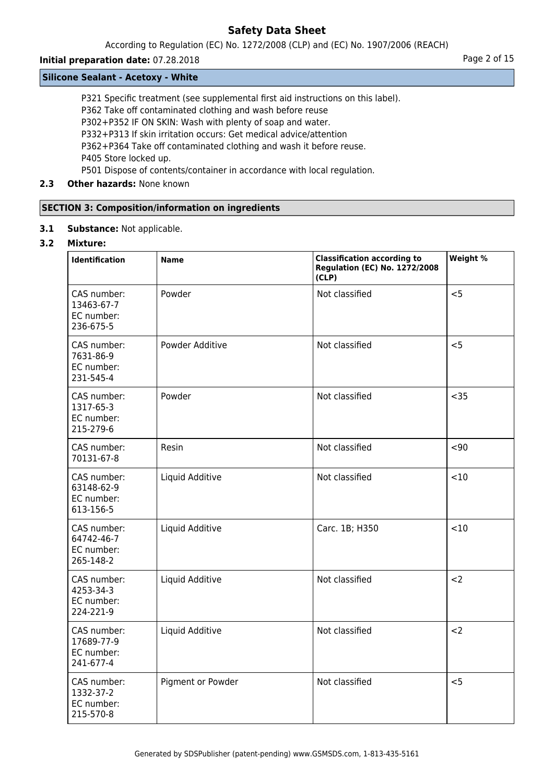According to Regulation (EC) No. 1272/2008 (CLP) and (EC) No. 1907/2006 (REACH)

# **Initial preparation date:** 07.28.2018 **Page 2 of 15**

#### **Silicone Sealant - Acetoxy - White**

P321 Specific treatment (see supplemental first aid instructions on this label).

P362 Take off contaminated clothing and wash before reuse

P302+P352 IF ON SKIN: Wash with plenty of soap and water.

P332+P313 If skin irritation occurs: Get medical advice/attention

P362+P364 Take off contaminated clothing and wash it before reuse.

P405 Store locked up.

P501 Dispose of contents/container in accordance with local regulation.

# **2.3 Other hazards:** None known

# **SECTION 3: Composition/information on ingredients**

**3.1 Substance:** Not applicable.

# **3.2 Mixture:**

| <b>Identification</b>                                | <b>Name</b>       | <b>Classification according to</b><br><b>Regulation (EC) No. 1272/2008</b><br>(CLP) | Weight % |
|------------------------------------------------------|-------------------|-------------------------------------------------------------------------------------|----------|
| CAS number:<br>13463-67-7<br>EC number:<br>236-675-5 | Powder            | Not classified                                                                      | < 5      |
| CAS number:<br>7631-86-9<br>EC number:<br>231-545-4  | Powder Additive   | Not classified                                                                      | < 5      |
| CAS number:<br>1317-65-3<br>EC number:<br>215-279-6  | Powder            | Not classified                                                                      | $35$     |
| CAS number:<br>70131-67-8                            | Resin             | Not classified                                                                      | $90$     |
| CAS number:<br>63148-62-9<br>EC number:<br>613-156-5 | Liquid Additive   | Not classified                                                                      | <10      |
| CAS number:<br>64742-46-7<br>EC number:<br>265-148-2 | Liquid Additive   | Carc. 1B; H350                                                                      | < 10     |
| CAS number:<br>4253-34-3<br>EC number:<br>224-221-9  | Liquid Additive   | Not classified                                                                      | $2$      |
| CAS number:<br>17689-77-9<br>EC number:<br>241-677-4 | Liquid Additive   | Not classified                                                                      | $2$      |
| CAS number:<br>1332-37-2<br>EC number:<br>215-570-8  | Pigment or Powder | Not classified                                                                      | < 5      |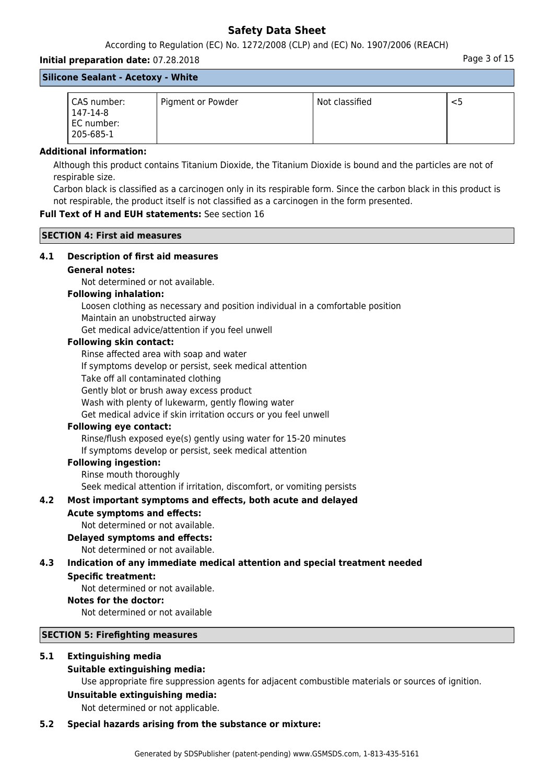According to Regulation (EC) No. 1272/2008 (CLP) and (EC) No. 1907/2006 (REACH)

# **Initial preparation date:** 07.28.2018 **Page 3 of 15** and the page 3 of 15 **Silicone Sealant - Acetoxy - White**

| CAS number:<br>147-14-8<br>EC number:<br>205-685-1 | Pigment or Powder | Not classified |  |
|----------------------------------------------------|-------------------|----------------|--|

#### **Additional information:**

Although this product contains Titanium Dioxide, the Titanium Dioxide is bound and the particles are not of respirable size.

Carbon black is classified as a carcinogen only in its respirable form. Since the carbon black in this product is not respirable, the product itself is not classified as a carcinogen in the form presented.

# **Full Text of H and EUH statements:** See section 16

**SECTION 4: First aid measures**

# **4.1 Description of first aid measures**

#### **General notes:**

Not determined or not available.

#### **Following inhalation:**

Loosen clothing as necessary and position individual in a comfortable position Maintain an unobstructed airway

Get medical advice/attention if you feel unwell

#### **Following skin contact:**

Rinse affected area with soap and water

If symptoms develop or persist, seek medical attention

Take off all contaminated clothing

Gently blot or brush away excess product

Wash with plenty of lukewarm, gently flowing water

Get medical advice if skin irritation occurs or you feel unwell

# **Following eye contact:**

Rinse/flush exposed eye(s) gently using water for 15-20 minutes If symptoms develop or persist, seek medical attention

# **Following ingestion:**

Rinse mouth thoroughly

Seek medical attention if irritation, discomfort, or vomiting persists

# **4.2 Most important symptoms and effects, both acute and delayed**

# **Acute symptoms and effects:**

Not determined or not available.

# **Delayed symptoms and effects:**

Not determined or not available.

# **4.3 Indication of any immediate medical attention and special treatment needed**

# **Specific treatment:**

Not determined or not available.

#### **Notes for the doctor:**

Not determined or not available

#### **SECTION 5: Firefighting measures**

# **5.1 Extinguishing media**

# **Suitable extinguishing media:**

Use appropriate fire suppression agents for adjacent combustible materials or sources of ignition.

# **Unsuitable extinguishing media:**

Not determined or not applicable.

# **5.2 Special hazards arising from the substance or mixture:**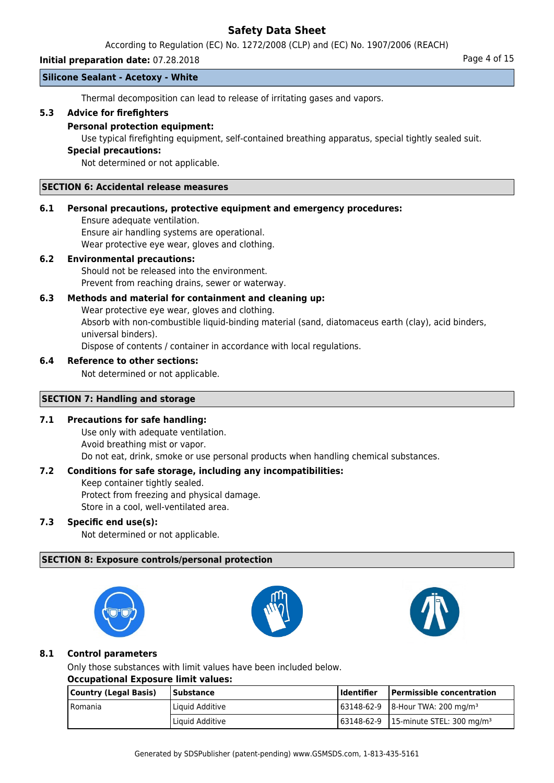According to Regulation (EC) No. 1272/2008 (CLP) and (EC) No. 1907/2006 (REACH)

# **Initial preparation date:** 07.28.2018 **Page 4 of 15**

#### **Silicone Sealant - Acetoxy - White**

Thermal decomposition can lead to release of irritating gases and vapors.

# **5.3 Advice for firefighters**

#### **Personal protection equipment:**

Use typical firefighting equipment, self-contained breathing apparatus, special tightly sealed suit.

#### **Special precautions:**

Not determined or not applicable.

#### **SECTION 6: Accidental release measures**

#### **6.1 Personal precautions, protective equipment and emergency procedures:**

Ensure adequate ventilation. Ensure air handling systems are operational. Wear protective eye wear, gloves and clothing.

### **6.2 Environmental precautions:**

Should not be released into the environment. Prevent from reaching drains, sewer or waterway.

# **6.3 Methods and material for containment and cleaning up:**

Wear protective eye wear, gloves and clothing. Absorb with non-combustible liquid-binding material (sand, diatomaceus earth (clay), acid binders, universal binders). Dispose of contents / container in accordance with local regulations.

#### **6.4 Reference to other sections:**

Not determined or not applicable.

#### **SECTION 7: Handling and storage**

# **7.1 Precautions for safe handling:**

Use only with adequate ventilation. Avoid breathing mist or vapor. Do not eat, drink, smoke or use personal products when handling chemical substances.

# **7.2 Conditions for safe storage, including any incompatibilities:**

Keep container tightly sealed. Protect from freezing and physical damage.

Store in a cool, well-ventilated area.

# **7.3 Specific end use(s):**

Not determined or not applicable.

# **SECTION 8: Exposure controls/personal protection**







# **8.1 Control parameters**

Only those substances with limit values have been included below.

#### **Occupational Exposure limit values:**

| Country (Legal Basis) | Substance       | l Identifier | Permissible concentration                                   |
|-----------------------|-----------------|--------------|-------------------------------------------------------------|
| l Romania             | Liquid Additive |              | $\frac{163148-62-9}{8}$   8-Hour TWA: 200 mg/m <sup>3</sup> |
|                       | Liquid Additive |              | $163148-62-9$   15-minute STEL: 300 mg/m <sup>3</sup>       |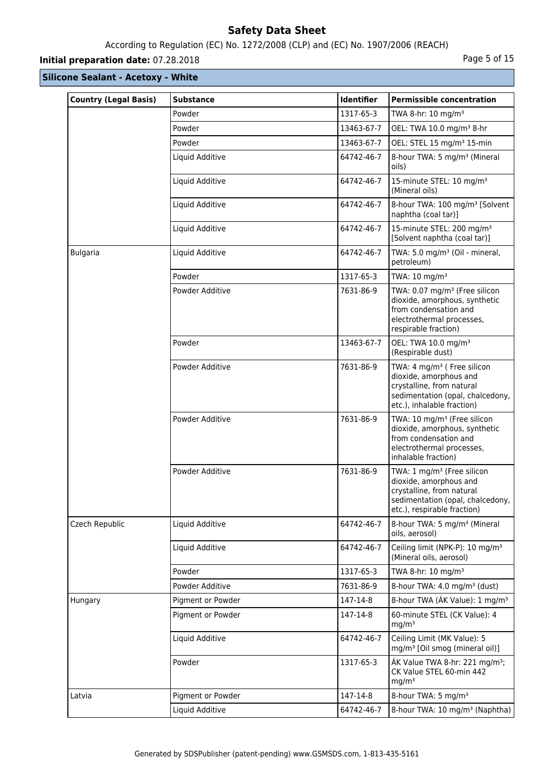# According to Regulation (EC) No. 1272/2008 (CLP) and (EC) No. 1907/2006 (REACH)

# **Initial preparation date:** 07.28.2018 **Page 1 and 2018** Page 5 of 15

| <b>Country (Legal Basis)</b> | <b>Substance</b>  | <b>Identifier</b> | <b>Permissible concentration</b>                                                                                                                                 |
|------------------------------|-------------------|-------------------|------------------------------------------------------------------------------------------------------------------------------------------------------------------|
|                              | Powder            | 1317-65-3         | TWA 8-hr: 10 mg/m <sup>3</sup>                                                                                                                                   |
|                              | Powder            | 13463-67-7        | OEL: TWA 10.0 mg/m <sup>3</sup> 8-hr                                                                                                                             |
|                              | Powder            | 13463-67-7        | OEL: STEL 15 mg/m <sup>3</sup> 15-min                                                                                                                            |
|                              | Liquid Additive   | 64742-46-7        | 8-hour TWA: 5 mg/m <sup>3</sup> (Mineral<br>oils)                                                                                                                |
|                              | Liquid Additive   | 64742-46-7        | 15-minute STEL: 10 mg/m <sup>3</sup><br>(Mineral oils)                                                                                                           |
|                              | Liquid Additive   | 64742-46-7        | 8-hour TWA: 100 mg/m <sup>3</sup> [Solvent<br>naphtha (coal tar)]                                                                                                |
|                              | Liquid Additive   | 64742-46-7        | 15-minute STEL: 200 mg/m <sup>3</sup><br>[Solvent naphtha (coal tar)]                                                                                            |
| <b>Bulgaria</b>              | Liquid Additive   | 64742-46-7        | TWA: 5.0 mg/m <sup>3</sup> (Oil - mineral,<br>petroleum)                                                                                                         |
|                              | Powder            | 1317-65-3         | TWA: 10 mg/m <sup>3</sup>                                                                                                                                        |
|                              | Powder Additive   | 7631-86-9         | TWA: 0.07 mg/m <sup>3</sup> (Free silicon<br>dioxide, amorphous, synthetic<br>from condensation and<br>electrothermal processes,<br>respirable fraction)         |
|                              | Powder            | 13463-67-7        | OEL: TWA 10.0 mg/m <sup>3</sup><br>(Respirable dust)                                                                                                             |
|                              | Powder Additive   | 7631-86-9         | TWA: 4 mg/m <sup>3</sup> ( Free silicon<br>dioxide, amorphous and<br>crystalline, from natural<br>sedimentation (opal, chalcedony,<br>etc.), inhalable fraction) |
|                              | Powder Additive   | 7631-86-9         | TWA: 10 mg/m <sup>3</sup> (Free silicon<br>dioxide, amorphous, synthetic<br>from condensation and<br>electrothermal processes,<br>inhalable fraction)            |
|                              | Powder Additive   | 7631-86-9         | TWA: 1 mg/m <sup>3</sup> (Free silicon<br>dioxide, amorphous and<br>crystalline, from natural<br>sedimentation (opal, chalcedony,<br>etc.), respirable fraction) |
| Czech Republic               | Liquid Additive   | 64742-46-7        | 8-hour TWA: 5 mg/m <sup>3</sup> (Mineral<br>oils, aerosol)                                                                                                       |
|                              | Liquid Additive   | 64742-46-7        | Ceiling limit (NPK-P): 10 mg/m <sup>3</sup><br>(Mineral oils, aerosol)                                                                                           |
|                              | Powder            | 1317-65-3         | TWA 8-hr: 10 mg/m <sup>3</sup>                                                                                                                                   |
|                              | Powder Additive   | 7631-86-9         | 8-hour TWA: 4.0 mg/m <sup>3</sup> (dust)                                                                                                                         |
| Hungary                      | Pigment or Powder | 147-14-8          | 8-hour TWA (AK Value): 1 mg/m <sup>3</sup>                                                                                                                       |
|                              | Pigment or Powder | 147-14-8          | 60-minute STEL (CK Value): 4<br>mg/m <sup>3</sup>                                                                                                                |
|                              | Liquid Additive   | 64742-46-7        | Ceiling Limit (MK Value): 5<br>mg/m <sup>3</sup> [Oil smog (mineral oil)]                                                                                        |
|                              | Powder            | 1317-65-3         | ÁK Value TWA 8-hr: 221 mg/m <sup>3</sup> ;<br>CK Value STEL 60-min 442<br>mg/m <sup>3</sup>                                                                      |
| Latvia                       | Pigment or Powder | 147-14-8          | 8-hour TWA: 5 mg/m <sup>3</sup>                                                                                                                                  |
|                              | Liquid Additive   | 64742-46-7        | 8-hour TWA: 10 mg/m <sup>3</sup> (Naphtha)                                                                                                                       |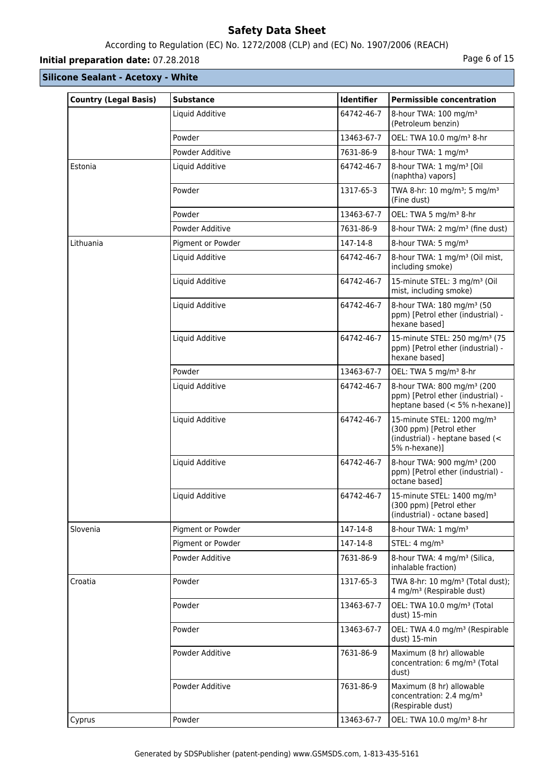# According to Regulation (EC) No. 1272/2008 (CLP) and (EC) No. 1907/2006 (REACH)

# **Initial preparation date:** 07.28.2018 **Page 6 of 15**

| <b>Country (Legal Basis)</b> | <b>Substance</b>  | <b>Identifier</b> | <b>Permissible concentration</b>                                                                                      |
|------------------------------|-------------------|-------------------|-----------------------------------------------------------------------------------------------------------------------|
|                              | Liquid Additive   | 64742-46-7        | 8-hour TWA: 100 mg/m <sup>3</sup><br>(Petroleum benzin)                                                               |
|                              | Powder            | 13463-67-7        | OEL: TWA 10.0 mg/m <sup>3</sup> 8-hr                                                                                  |
|                              | Powder Additive   | 7631-86-9         | 8-hour TWA: 1 mg/m <sup>3</sup>                                                                                       |
| Estonia                      | Liquid Additive   | 64742-46-7        | 8-hour TWA: 1 mg/m <sup>3</sup> [Oil<br>(naphtha) vapors]                                                             |
|                              | Powder            | 1317-65-3         | TWA 8-hr: 10 mg/m <sup>3</sup> ; 5 mg/m <sup>3</sup><br>(Fine dust)                                                   |
|                              | Powder            | 13463-67-7        | OEL: TWA 5 mg/m <sup>3</sup> 8-hr                                                                                     |
|                              | Powder Additive   | 7631-86-9         | 8-hour TWA: 2 mg/m <sup>3</sup> (fine dust)                                                                           |
| Lithuania                    | Pigment or Powder | 147-14-8          | 8-hour TWA: 5 mg/m <sup>3</sup>                                                                                       |
|                              | Liquid Additive   | 64742-46-7        | 8-hour TWA: 1 mg/m <sup>3</sup> (Oil mist,<br>including smoke)                                                        |
|                              | Liquid Additive   | 64742-46-7        | 15-minute STEL: 3 mg/m <sup>3</sup> (Oil<br>mist, including smoke)                                                    |
|                              | Liquid Additive   | 64742-46-7        | 8-hour TWA: 180 mg/m <sup>3</sup> (50<br>ppm) [Petrol ether (industrial) -<br>hexane based]                           |
|                              | Liquid Additive   | 64742-46-7        | 15-minute STEL: 250 mg/m <sup>3</sup> (75<br>ppm) [Petrol ether (industrial) -<br>hexane based]                       |
|                              | Powder            | 13463-67-7        | OEL: TWA 5 mg/m <sup>3</sup> 8-hr                                                                                     |
|                              | Liquid Additive   | 64742-46-7        | 8-hour TWA: 800 mg/m <sup>3</sup> (200<br>ppm) [Petrol ether (industrial) -<br>heptane based (< 5% n-hexane)]         |
|                              | Liquid Additive   | 64742-46-7        | 15-minute STEL: 1200 mg/m <sup>3</sup><br>(300 ppm) [Petrol ether<br>(industrial) - heptane based (<<br>5% n-hexane)] |
|                              | Liquid Additive   | 64742-46-7        | 8-hour TWA: 900 mg/m <sup>3</sup> (200<br>ppm) [Petrol ether (industrial) -<br>octane based]                          |
|                              | Liquid Additive   | 64742-46-7        | 15-minute STEL: 1400 mg/m <sup>3</sup><br>(300 ppm) [Petrol ether<br>(industrial) - octane based]                     |
| Slovenia                     | Pigment or Powder | 147-14-8          | 8-hour TWA: 1 mg/m <sup>3</sup>                                                                                       |
|                              | Pigment or Powder | 147-14-8          | STEL: 4 mg/m <sup>3</sup>                                                                                             |
|                              | Powder Additive   | 7631-86-9         | 8-hour TWA: 4 mg/m <sup>3</sup> (Silica,<br>inhalable fraction)                                                       |
| Croatia                      | Powder            | 1317-65-3         | TWA 8-hr: 10 mg/m <sup>3</sup> (Total dust);<br>4 mg/m <sup>3</sup> (Respirable dust)                                 |
|                              | Powder            | 13463-67-7        | OEL: TWA 10.0 mg/m <sup>3</sup> (Total<br>dust) 15-min                                                                |
|                              | Powder            | 13463-67-7        | OEL: TWA 4.0 mg/m <sup>3</sup> (Respirable<br>dust) 15-min                                                            |
|                              | Powder Additive   | 7631-86-9         | Maximum (8 hr) allowable<br>concentration: 6 mg/m <sup>3</sup> (Total<br>dust)                                        |
|                              | Powder Additive   | 7631-86-9         | Maximum (8 hr) allowable<br>concentration: 2.4 mg/m <sup>3</sup><br>(Respirable dust)                                 |
| Cyprus                       | Powder            | 13463-67-7        | OEL: TWA 10.0 mg/m <sup>3</sup> 8-hr                                                                                  |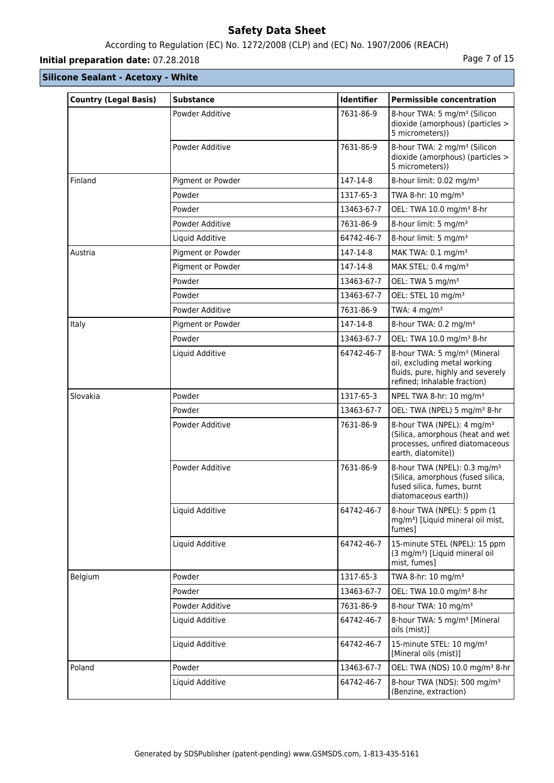# According to Regulation (EC) No. 1272/2008 (CLP) and (EC) No. 1907/2006 (REACH)

# **Initial preparation date:** 07.28.2018 **Page 7 of 15**

| <b>Country (Legal Basis)</b> | <b>Substance</b>  | Identifier | <b>Permissible concentration</b>                                                                                                              |
|------------------------------|-------------------|------------|-----------------------------------------------------------------------------------------------------------------------------------------------|
|                              | Powder Additive   | 7631-86-9  | 8-hour TWA: 5 mg/m <sup>3</sup> (Silicon<br>dioxide (amorphous) (particles ><br>5 micrometers))                                               |
|                              | Powder Additive   | 7631-86-9  | 8-hour TWA: 2 mg/m <sup>3</sup> (Silicon<br>dioxide (amorphous) (particles ><br>5 micrometers))                                               |
| Finland                      | Pigment or Powder | 147-14-8   | 8-hour limit: 0.02 mg/m <sup>3</sup>                                                                                                          |
|                              | Powder            | 1317-65-3  | TWA 8-hr: 10 mg/m <sup>3</sup>                                                                                                                |
|                              | Powder            | 13463-67-7 | OEL: TWA 10.0 mg/m <sup>3</sup> 8-hr                                                                                                          |
|                              | Powder Additive   | 7631-86-9  | 8-hour limit: 5 mg/m <sup>3</sup>                                                                                                             |
|                              | Liquid Additive   | 64742-46-7 | 8-hour limit: 5 mg/m <sup>3</sup>                                                                                                             |
| Austria                      | Pigment or Powder | 147-14-8   | MAK TWA: 0.1 mg/m <sup>3</sup>                                                                                                                |
|                              | Pigment or Powder | 147-14-8   | MAK STEL: 0.4 mg/m <sup>3</sup>                                                                                                               |
|                              | Powder            | 13463-67-7 | OEL: TWA 5 mg/m <sup>3</sup>                                                                                                                  |
|                              | Powder            | 13463-67-7 | OEL: STEL 10 mg/m <sup>3</sup>                                                                                                                |
|                              | Powder Additive   | 7631-86-9  | TWA: $4 \text{ mg/m}^3$                                                                                                                       |
| Italy                        | Pigment or Powder | 147-14-8   | 8-hour TWA: 0.2 mg/m <sup>3</sup>                                                                                                             |
|                              | Powder            | 13463-67-7 | OEL: TWA 10.0 mg/m <sup>3</sup> 8-hr                                                                                                          |
|                              | Liquid Additive   | 64742-46-7 | 8-hour TWA: 5 mg/m <sup>3</sup> (Mineral<br>oil, excluding metal working<br>fluids, pure, highly and severely<br>refined; Inhalable fraction) |
| Slovakia                     | Powder            | 1317-65-3  | NPEL TWA 8-hr: 10 mg/m <sup>3</sup>                                                                                                           |
|                              | Powder            | 13463-67-7 | OEL: TWA (NPEL) 5 mg/m <sup>3</sup> 8-hr                                                                                                      |
|                              | Powder Additive   | 7631-86-9  | 8-hour TWA (NPEL): 4 mg/m <sup>3</sup><br>(Silica, amorphous (heat and wet<br>processes, unfired diatomaceous<br>earth, diatomite))           |
|                              | Powder Additive   | 7631-86-9  | 8-hour TWA (NPEL): 0.3 mg/m <sup>3</sup><br>(Silica, amorphous (fused silica,<br>fused silica, fumes, burnt<br>diatomaceous earth))           |
|                              | Liquid Additive   | 64742-46-7 | 8-hour TWA (NPEL): 5 ppm (1<br>mg/m <sup>3</sup> ) [Liquid mineral oil mist,<br>fumes]                                                        |
|                              | Liquid Additive   | 64742-46-7 | 15-minute STEL (NPEL): 15 ppm<br>(3 mg/m <sup>3</sup> ) [Liquid mineral oil<br>mist, fumes]                                                   |
| Belgium                      | Powder            | 1317-65-3  | TWA 8-hr: 10 mg/m <sup>3</sup>                                                                                                                |
|                              | Powder            | 13463-67-7 | OEL: TWA 10.0 mg/m <sup>3</sup> 8-hr                                                                                                          |
|                              | Powder Additive   | 7631-86-9  | 8-hour TWA: 10 mg/m <sup>3</sup>                                                                                                              |
|                              | Liquid Additive   | 64742-46-7 | 8-hour TWA: 5 mg/m <sup>3</sup> [Mineral<br>oils (mist)]                                                                                      |
|                              | Liquid Additive   | 64742-46-7 | 15-minute STEL: 10 mg/m <sup>3</sup><br>[Mineral oils (mist)]                                                                                 |
| Poland                       | Powder            | 13463-67-7 | OEL: TWA (NDS) 10.0 mg/m <sup>3</sup> 8-hr                                                                                                    |
|                              | Liquid Additive   | 64742-46-7 | 8-hour TWA (NDS): 500 mg/m <sup>3</sup><br>(Benzine, extraction)                                                                              |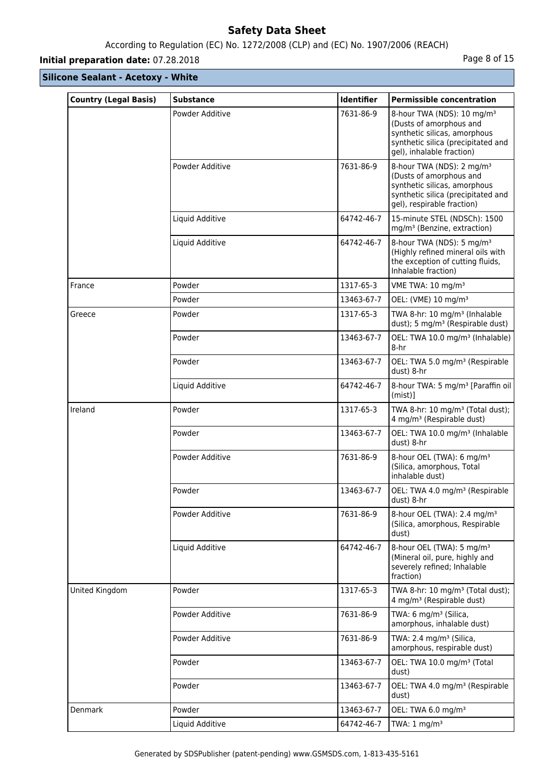# According to Regulation (EC) No. 1272/2008 (CLP) and (EC) No. 1907/2006 (REACH)

# **Initial preparation date:** 07.28.2018 **Page 8 of 15**

| <b>Country (Legal Basis)</b> | <b>Substance</b> | <b>Identifier</b> | <b>Permissible concentration</b>                                                                                                                                     |
|------------------------------|------------------|-------------------|----------------------------------------------------------------------------------------------------------------------------------------------------------------------|
|                              | Powder Additive  | 7631-86-9         | 8-hour TWA (NDS): 10 mg/m <sup>3</sup><br>(Dusts of amorphous and<br>synthetic silicas, amorphous<br>synthetic silica (precipitated and<br>gel), inhalable fraction) |
|                              | Powder Additive  | 7631-86-9         | 8-hour TWA (NDS): 2 mg/m <sup>3</sup><br>(Dusts of amorphous and<br>synthetic silicas, amorphous<br>synthetic silica (precipitated and<br>gel), respirable fraction) |
|                              | Liquid Additive  | 64742-46-7        | 15-minute STEL (NDSCh): 1500<br>mg/m <sup>3</sup> (Benzine, extraction)                                                                                              |
|                              | Liquid Additive  | 64742-46-7        | 8-hour TWA (NDS): 5 mg/m <sup>3</sup><br>(Highly refined mineral oils with<br>the exception of cutting fluids,<br>Inhalable fraction)                                |
| France                       | Powder           | 1317-65-3         | VME TWA: 10 mg/m <sup>3</sup>                                                                                                                                        |
|                              | Powder           | 13463-67-7        | OEL: (VME) 10 mg/m <sup>3</sup>                                                                                                                                      |
| Greece                       | Powder           | 1317-65-3         | TWA 8-hr: 10 mg/m <sup>3</sup> (Inhalable<br>dust); 5 mg/m <sup>3</sup> (Respirable dust)                                                                            |
|                              | Powder           | 13463-67-7        | OEL: TWA 10.0 mg/m <sup>3</sup> (Inhalable)<br>8-hr                                                                                                                  |
|                              | Powder           | 13463-67-7        | OEL: TWA 5.0 mg/m <sup>3</sup> (Respirable<br>dust) 8-hr                                                                                                             |
|                              | Liquid Additive  | 64742-46-7        | 8-hour TWA: 5 mg/m <sup>3</sup> [Paraffin oil  <br>$(mist)$ ]                                                                                                        |
| Ireland                      | Powder           | 1317-65-3         | TWA 8-hr: 10 mg/m <sup>3</sup> (Total dust);<br>4 mg/m <sup>3</sup> (Respirable dust)                                                                                |
|                              | Powder           | 13463-67-7        | OEL: TWA 10.0 mg/m <sup>3</sup> (Inhalable<br>dust) 8-hr                                                                                                             |
|                              | Powder Additive  | 7631-86-9         | 8-hour OEL (TWA): 6 mg/m <sup>3</sup><br>(Silica, amorphous, Total<br>inhalable dust)                                                                                |
|                              | Powder           | 13463-67-7        | OEL: TWA 4.0 mg/m <sup>3</sup> (Respirable<br>dust) 8-hr                                                                                                             |
|                              | Powder Additive  | 7631-86-9         | 8-hour OEL (TWA): 2.4 mg/m <sup>3</sup><br>(Silica, amorphous, Respirable<br>dust)                                                                                   |
|                              | Liquid Additive  | 64742-46-7        | 8-hour OEL (TWA): 5 mg/m <sup>3</sup><br>(Mineral oil, pure, highly and<br>severely refined; Inhalable<br>fraction)                                                  |
| United Kingdom               | Powder           | 1317-65-3         | TWA 8-hr: 10 mg/m <sup>3</sup> (Total dust);<br>4 mg/m <sup>3</sup> (Respirable dust)                                                                                |
|                              | Powder Additive  | 7631-86-9         | TWA: 6 mg/m <sup>3</sup> (Silica,<br>amorphous, inhalable dust)                                                                                                      |
|                              | Powder Additive  | 7631-86-9         | TWA: 2.4 mg/m <sup>3</sup> (Silica,<br>amorphous, respirable dust)                                                                                                   |
|                              | Powder           | 13463-67-7        | OEL: TWA 10.0 mg/m <sup>3</sup> (Total<br>dust)                                                                                                                      |
|                              | Powder           | 13463-67-7        | OEL: TWA 4.0 mg/m <sup>3</sup> (Respirable<br>dust)                                                                                                                  |
| Denmark                      | Powder           | 13463-67-7        | OEL: TWA 6.0 mg/m <sup>3</sup>                                                                                                                                       |
|                              | Liquid Additive  | 64742-46-7        | TWA: $1 \text{ mg/m}^3$                                                                                                                                              |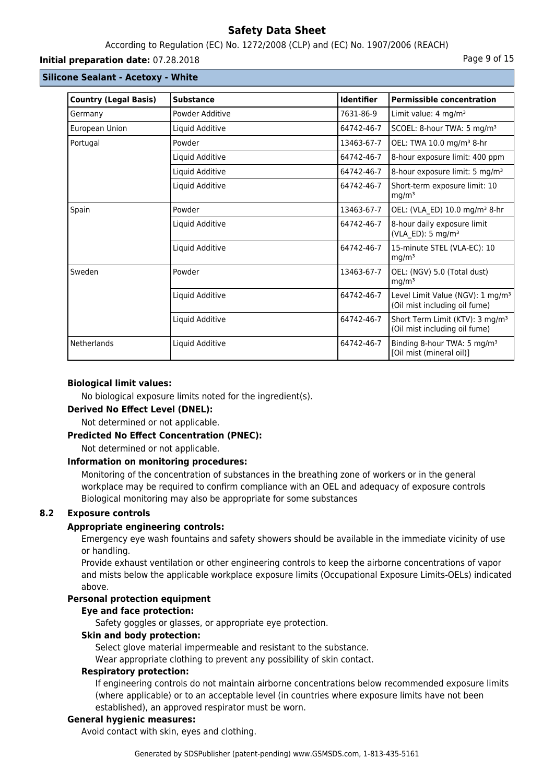# According to Regulation (EC) No. 1272/2008 (CLP) and (EC) No. 1907/2006 (REACH)

#### **Initial preparation date:** 07.28.2018 **Page 9 of 15**

# **Silicone Sealant - Acetoxy - White**

| <b>Country (Legal Basis)</b> | <b>Substance</b> | <b>Identifier</b> | <b>Permissible concentration</b>                                              |
|------------------------------|------------------|-------------------|-------------------------------------------------------------------------------|
| Germany                      | Powder Additive  | 7631-86-9         | Limit value: 4 mg/m <sup>3</sup>                                              |
| European Union               | Liquid Additive  | 64742-46-7        | SCOEL: 8-hour TWA: 5 mg/m <sup>3</sup>                                        |
| Portugal                     | Powder           | 13463-67-7        | OEL: TWA 10.0 mg/m <sup>3</sup> 8-hr                                          |
|                              | Liquid Additive  | 64742-46-7        | 8-hour exposure limit: 400 ppm                                                |
|                              | Liquid Additive  | 64742-46-7        | 8-hour exposure limit: 5 mg/m <sup>3</sup>                                    |
|                              | Liquid Additive  | 64742-46-7        | Short-term exposure limit: 10<br>mg/m <sup>3</sup>                            |
| Spain                        | Powder           | 13463-67-7        | OEL: (VLA_ED) 10.0 mg/m <sup>3</sup> 8-hr                                     |
|                              | Liquid Additive  | 64742-46-7        | 8-hour daily exposure limit<br>(VLA_ED): 5 mg/m <sup>3</sup>                  |
|                              | Liquid Additive  | 64742-46-7        | 15-minute STEL (VLA-EC): 10<br>mq/m <sup>3</sup>                              |
| Sweden                       | Powder           | 13463-67-7        | OEL: (NGV) 5.0 (Total dust)<br>mg/m <sup>3</sup>                              |
|                              | Liquid Additive  | 64742-46-7        | Level Limit Value (NGV): 1 mg/m <sup>3</sup><br>(Oil mist including oil fume) |
|                              | Liquid Additive  | 64742-46-7        | Short Term Limit (KTV): 3 mg/m <sup>3</sup><br>(Oil mist including oil fume)  |
| <b>Netherlands</b>           | Liquid Additive  | 64742-46-7        | Binding 8-hour TWA: 5 mg/m <sup>3</sup><br>[Oil mist (mineral oil)]           |

#### **Biological limit values:**

No biological exposure limits noted for the ingredient(s).

#### **Derived No Effect Level (DNEL):**

Not determined or not applicable.

#### **Predicted No Effect Concentration (PNEC):**

Not determined or not applicable.

#### **Information on monitoring procedures:**

Monitoring of the concentration of substances in the breathing zone of workers or in the general workplace may be required to confirm compliance with an OEL and adequacy of exposure controls Biological monitoring may also be appropriate for some substances

# **8.2 Exposure controls**

# **Appropriate engineering controls:**

Emergency eye wash fountains and safety showers should be available in the immediate vicinity of use or handling.

Provide exhaust ventilation or other engineering controls to keep the airborne concentrations of vapor and mists below the applicable workplace exposure limits (Occupational Exposure Limits-OELs) indicated above.

# **Personal protection equipment**

#### **Eye and face protection:**

Safety goggles or glasses, or appropriate eye protection.

# **Skin and body protection:**

Select glove material impermeable and resistant to the substance.

Wear appropriate clothing to prevent any possibility of skin contact.

#### **Respiratory protection:**

If engineering controls do not maintain airborne concentrations below recommended exposure limits (where applicable) or to an acceptable level (in countries where exposure limits have not been established), an approved respirator must be worn.

#### **General hygienic measures:**

Avoid contact with skin, eyes and clothing.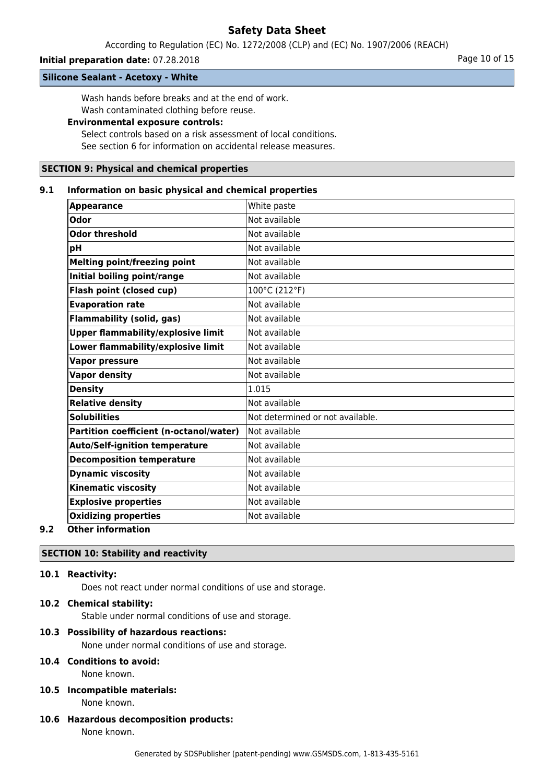According to Regulation (EC) No. 1272/2008 (CLP) and (EC) No. 1907/2006 (REACH)

#### **Initial preparation date:** 07.28.2018 **Page 10 of 15** Page 10 of 15

#### **Silicone Sealant - Acetoxy - White**

Wash hands before breaks and at the end of work. Wash contaminated clothing before reuse.

# **Environmental exposure controls:**

Select controls based on a risk assessment of local conditions. See section 6 for information on accidental release measures.

#### **SECTION 9: Physical and chemical properties**

#### **9.1 Information on basic physical and chemical properties**

| <b>Appearance</b>                         | White paste                      |
|-------------------------------------------|----------------------------------|
| <b>Odor</b>                               | Not available                    |
| <b>Odor threshold</b>                     | Not available                    |
| pH                                        | Not available                    |
| <b>Melting point/freezing point</b>       | Not available                    |
| Initial boiling point/range               | Not available                    |
| Flash point (closed cup)                  | 100°C (212°F)                    |
| <b>Evaporation rate</b>                   | Not available                    |
| <b>Flammability (solid, gas)</b>          | Not available                    |
| <b>Upper flammability/explosive limit</b> | Not available                    |
| Lower flammability/explosive limit        | Not available                    |
| <b>Vapor pressure</b>                     | Not available                    |
| <b>Vapor density</b>                      | Not available                    |
| <b>Density</b>                            | 1.015                            |
| <b>Relative density</b>                   | Not available                    |
| <b>Solubilities</b>                       | Not determined or not available. |
| Partition coefficient (n-octanol/water)   | lNot available                   |
| <b>Auto/Self-ignition temperature</b>     | Not available                    |
| <b>Decomposition temperature</b>          | Not available                    |
| <b>Dynamic viscosity</b>                  | Not available                    |
| <b>Kinematic viscosity</b>                | Not available                    |
| <b>Explosive properties</b>               | Not available                    |
| <b>Oxidizing properties</b>               | Not available                    |
| Othau informatio                          |                                  |

#### **9.2 Other information**

#### **SECTION 10: Stability and reactivity**

# **10.1 Reactivity:**

Does not react under normal conditions of use and storage.

#### **10.2 Chemical stability:**

Stable under normal conditions of use and storage.

#### **10.3 Possibility of hazardous reactions:**

None under normal conditions of use and storage.

# **10.4 Conditions to avoid:**

None known.

# **10.5 Incompatible materials:**

None known.

**10.6 Hazardous decomposition products:** None known.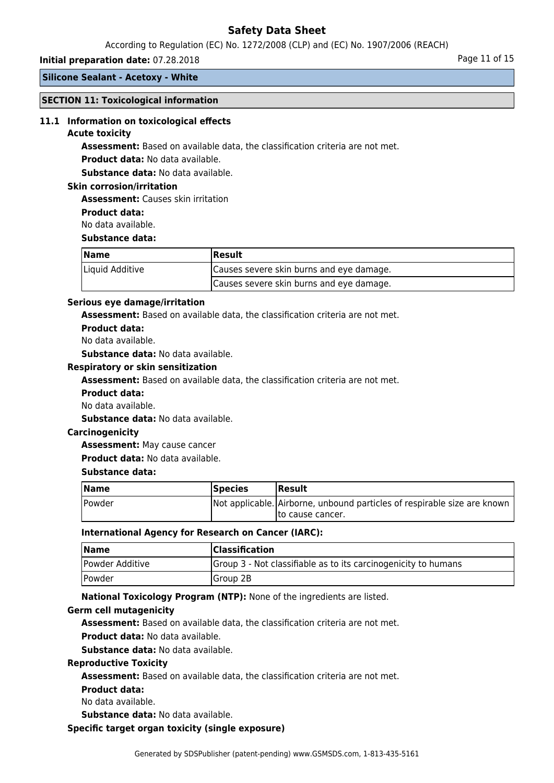According to Regulation (EC) No. 1272/2008 (CLP) and (EC) No. 1907/2006 (REACH)

# **Initial preparation date:** 07.28.2018 **Page 11 of 15** Page 11 of 15

**Silicone Sealant - Acetoxy - White**

#### **SECTION 11: Toxicological information**

#### **11.1 Information on toxicological effects**

#### **Acute toxicity**

**Assessment:** Based on available data, the classification criteria are not met.

**Product data:** No data available.

**Substance data:** No data available.

#### **Skin corrosion/irritation**

**Assessment:** Causes skin irritation

**Product data:**

No data available.

#### **Substance data:**

| Name            | Result                                   |  |
|-----------------|------------------------------------------|--|
| Liquid Additive | Causes severe skin burns and eye damage. |  |
|                 | Causes severe skin burns and eye damage. |  |

#### **Serious eye damage/irritation**

**Assessment:** Based on available data, the classification criteria are not met.

**Product data:**

No data available.

**Substance data:** No data available.

#### **Respiratory or skin sensitization**

**Assessment:** Based on available data, the classification criteria are not met.

- **Product data:**
- No data available.

**Substance data:** No data available.

#### **Carcinogenicity**

**Assessment:** May cause cancer

**Product data:** No data available.

#### **Substance data:**

| <b>Name</b> | <b>Species</b> | <b> Result</b>                                                           |
|-------------|----------------|--------------------------------------------------------------------------|
| Powder      |                | Not applicable. Airborne, unbound particles of respirable size are known |
|             |                | Ito cause cancer.                                                        |

#### **International Agency for Research on Cancer (IARC):**

| <b>Name</b>                 | <b>Classification</b>                                          |
|-----------------------------|----------------------------------------------------------------|
| Powder Additive             | Group 3 - Not classifiable as to its carcinogenicity to humans |
| <i><u><b>Powder</b></u></i> | Group 2B                                                       |

**National Toxicology Program (NTP):** None of the ingredients are listed.

#### **Germ cell mutagenicity**

**Assessment:** Based on available data, the classification criteria are not met.

**Product data:** No data available.

**Substance data:** No data available.

#### **Reproductive Toxicity**

**Assessment:** Based on available data, the classification criteria are not met.

**Product data:**

No data available.

**Substance data:** No data available.

#### **Specific target organ toxicity (single exposure)**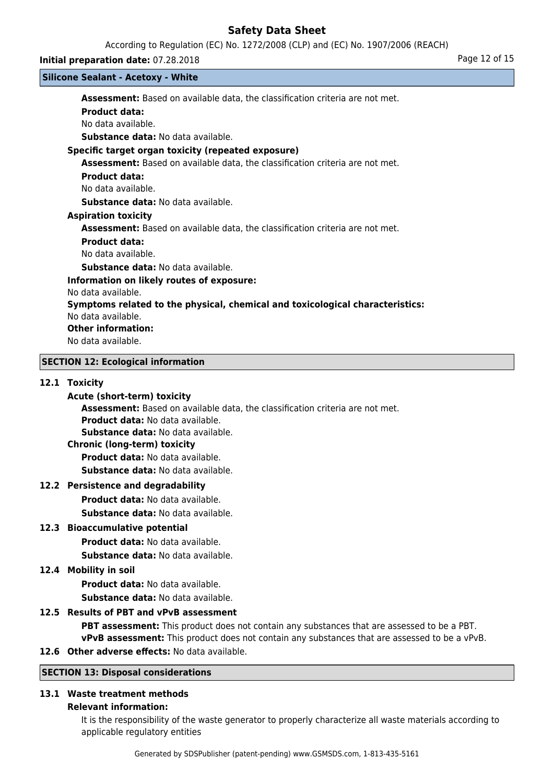According to Regulation (EC) No. 1272/2008 (CLP) and (EC) No. 1907/2006 (REACH)

#### **Silicone Sealant - Acetoxy - White**

**Initial preparation date:** 07.28.2018 **Page 12 of 15 Assessment:** Based on available data, the classification criteria are not met. **Product data:** No data available. **Substance data:** No data available. **Specific target organ toxicity (repeated exposure) Assessment:** Based on available data, the classification criteria are not met. **Product data:** No data available. **Substance data:** No data available. **Aspiration toxicity Assessment:** Based on available data, the classification criteria are not met. **Product data:** No data available. **Substance data:** No data available. **Information on likely routes of exposure:** No data available. **Symptoms related to the physical, chemical and toxicological characteristics:** No data available. **Other information:** No data available. **SECTION 12: Ecological information**

#### **12.1 Toxicity Acute (short-term) toxicity**

**Assessment:** Based on available data, the classification criteria are not met.

**Product data:** No data available.

**Substance data:** No data available.

#### **Chronic (long-term) toxicity**

**Product data:** No data available.

**Substance data:** No data available.

# **12.2 Persistence and degradability**

**Product data:** No data available.

**Substance data:** No data available.

# **12.3 Bioaccumulative potential**

**Product data:** No data available.

**Substance data:** No data available.

# **12.4 Mobility in soil**

**Product data:** No data available. **Substance data:** No data available.

# **12.5 Results of PBT and vPvB assessment**

**PBT assessment:** This product does not contain any substances that are assessed to be a PBT. **vPvB assessment:** This product does not contain any substances that are assessed to be a vPvB.

**12.6 Other adverse effects:** No data available.

# **SECTION 13: Disposal considerations**

# **13.1 Waste treatment methods**

#### **Relevant information:**

It is the responsibility of the waste generator to properly characterize all waste materials according to applicable regulatory entities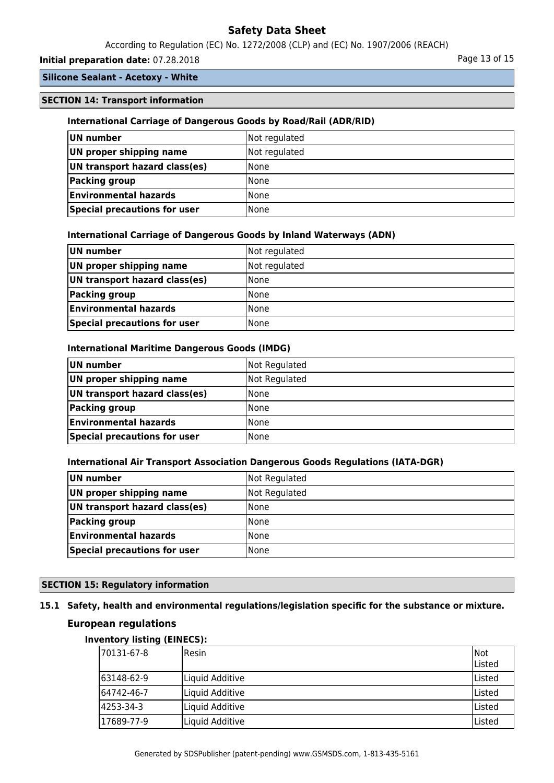According to Regulation (EC) No. 1272/2008 (CLP) and (EC) No. 1907/2006 (REACH)

# **Initial preparation date:** 07.28.2018 **Page 13 of 15** Page 13 of 15

# **Silicone Sealant - Acetoxy - White**

# **SECTION 14: Transport information**

#### **International Carriage of Dangerous Goods by Road/Rail (ADR/RID)**

| UN number                     | Not regulated |
|-------------------------------|---------------|
| UN proper shipping name       | Not regulated |
| UN transport hazard class(es) | l None        |
| Packing group                 | l None        |
| <b>Environmental hazards</b>  | l None        |
| Special precautions for user  | l None        |

#### **International Carriage of Dangerous Goods by Inland Waterways (ADN)**

| UN number                     | Not regulated |
|-------------------------------|---------------|
| UN proper shipping name       | Not regulated |
| UN transport hazard class(es) | l None        |
| Packing group                 | l None        |
| <b>Environmental hazards</b>  | l None        |
| Special precautions for user  | l None        |

#### **International Maritime Dangerous Goods (IMDG)**

| UN number                     | Not Regulated |
|-------------------------------|---------------|
| UN proper shipping name       | Not Regulated |
| UN transport hazard class(es) | <b>None</b>   |
| Packing group                 | <b>None</b>   |
| <b>Environmental hazards</b>  | <b>None</b>   |
| Special precautions for user  | <b>None</b>   |

#### **International Air Transport Association Dangerous Goods Regulations (IATA-DGR)**

| UN number                     | Not Regulated |
|-------------------------------|---------------|
| UN proper shipping name       | Not Regulated |
| UN transport hazard class(es) | l None        |
| <b>Packing group</b>          | l None        |
| <b>Environmental hazards</b>  | l None        |
| Special precautions for user  | None          |

# **SECTION 15: Regulatory information**

# **15.1 Safety, health and environmental regulations/legislation specific for the substance or mixture.**

# **European regulations**

### **Inventory listing (EINECS):**

| 170131-67-8 | <b>IResin</b>   | Not<br>lListed |
|-------------|-----------------|----------------|
| 163148-62-9 | Liquid Additive | Listed         |
| 164742-46-7 | Liquid Additive | Listed         |
| 4253-34-3   | Liquid Additive | ا Listed       |
| 17689-77-9  | Liquid Additive | Listed         |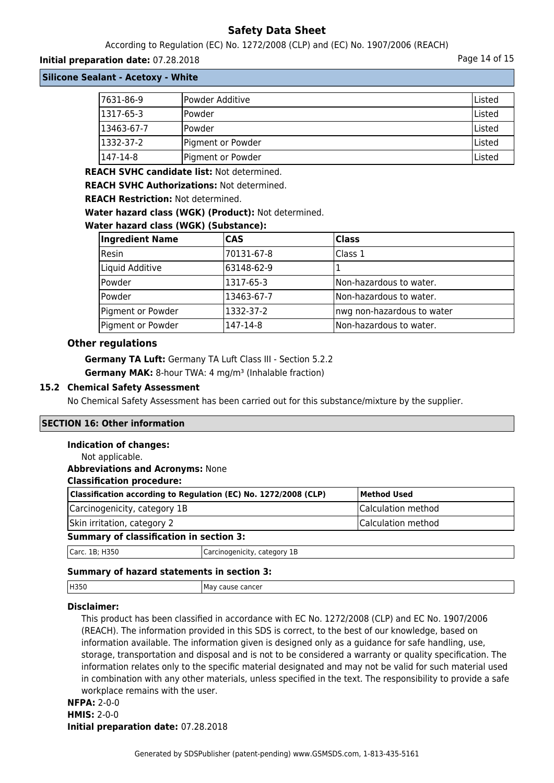According to Regulation (EC) No. 1272/2008 (CLP) and (EC) No. 1907/2006 (REACH)

# **Initial preparation date:** 07.28.2018 **Page 14 of 15**

**Silicone Sealant - Acetoxy - White**

| 7631-86-9  | Powder Additive   | lListed |
|------------|-------------------|---------|
| 1317-65-3  | lPowder           | Listed  |
| 13463-67-7 | lPowder           | lListed |
| 1332-37-2  | Pigment or Powder | lListed |
| 1147-14-8  | Pigment or Powder | lListed |

**REACH SVHC candidate list:** Not determined.

**REACH SVHC Authorizations:** Not determined.

**REACH Restriction:** Not determined.

**Water hazard class (WGK) (Product):** Not determined.

#### **Water hazard class (WGK) (Substance):**

| <b>Ingredient Name</b> | <b>CAS</b> | <b>Class</b>               |
|------------------------|------------|----------------------------|
| Resin                  | 70131-67-8 | Class 1                    |
| Liquid Additive        | 63148-62-9 |                            |
| Powder                 | 1317-65-3  | Non-hazardous to water.    |
| Powder                 | 13463-67-7 | Non-hazardous to water.    |
| Pigment or Powder      | 1332-37-2  | nwg non-hazardous to water |
| Pigment or Powder      | 147-14-8   | Non-hazardous to water.    |

#### **Other regulations**

**Germany TA Luft:** Germany TA Luft Class III - Section 5.2.2 **Germany MAK:** 8-hour TWA: 4 mg/m<sup>3</sup> (Inhalable fraction)

#### **15.2 Chemical Safety Assessment**

No Chemical Safety Assessment has been carried out for this substance/mixture by the supplier.

## **SECTION 16: Other information**

#### **Indication of changes:**

| Not applicable.                                |                                                                 |                    |
|------------------------------------------------|-----------------------------------------------------------------|--------------------|
| <b>Abbreviations and Acronyms: None</b>        |                                                                 |                    |
| <b>Classification procedure:</b>               |                                                                 |                    |
|                                                | Classification according to Regulation (EC) No. 1272/2008 (CLP) | <b>Method Used</b> |
| Carcinogenicity, category 1B                   |                                                                 | Calculation method |
| Skin irritation, category 2                    |                                                                 | Calculation method |
| <b>Summary of classification in section 3:</b> |                                                                 |                    |
| Carc. 1B; H350                                 | Carcinogenicity, category 1B                                    |                    |
|                                                |                                                                 |                    |

# **Summary of hazard statements in section 3:**

| H350 | : cancer<br>Mav<br>cause<br>. |
|------|-------------------------------|
|      |                               |

# **Disclaimer:**

This product has been classified in accordance with EC No. 1272/2008 (CLP) and EC No. 1907/2006 (REACH). The information provided in this SDS is correct, to the best of our knowledge, based on information available. The information given is designed only as a guidance for safe handling, use, storage, transportation and disposal and is not to be considered a warranty or quality specification. The information relates only to the specific material designated and may not be valid for such material used in combination with any other materials, unless specified in the text. The responsibility to provide a safe workplace remains with the user.

# **NFPA:** 2-0-0 **HMIS:** 2-0-0 **Initial preparation date:** 07.28.2018